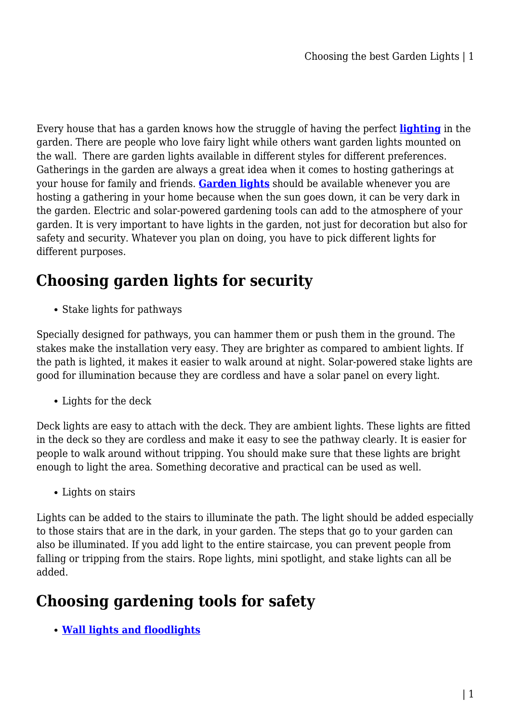Every house that has a garden knows how the struggle of having the perfect **[lighting](https://gardeningtoolsonline.com.au/home-garden/lighting/)** in the garden. There are people who love fairy light while others want garden lights mounted on the wall. There are garden lights available in different styles for different preferences. Gatherings in the garden are always a great idea when it comes to hosting gatherings at your house for family and friends. **[Garden lights](https://gardeningtoolsonline.com.au/home-garden/lighting/outdoor-lighting/)** should be available whenever you are hosting a gathering in your home because when the sun goes down, it can be very dark in the garden. Electric and solar-powered gardening tools can add to the atmosphere of your garden. It is very important to have lights in the garden, not just for decoration but also for safety and security. Whatever you plan on doing, you have to pick different lights for different purposes.

# **Choosing garden lights for security**

• Stake lights for pathways

Specially designed for pathways, you can hammer them or push them in the ground. The stakes make the installation very easy. They are brighter as compared to ambient lights. If the path is lighted, it makes it easier to walk around at night. Solar-powered stake lights are good for illumination because they are cordless and have a solar panel on every light.

Lights for the deck

Deck lights are easy to attach with the deck. They are ambient lights. These lights are fitted in the deck so they are cordless and make it easy to see the pathway clearly. It is easier for people to walk around without tripping. You should make sure that these lights are bright enough to light the area. Something decorative and practical can be used as well.

Lights on stairs

Lights can be added to the stairs to illuminate the path. The light should be added especially to those stairs that are in the dark, in your garden. The steps that go to your garden can also be illuminated. If you add light to the entire staircase, you can prevent people from falling or tripping from the stairs. Rope lights, mini spotlight, and stake lights can all be added.

## **Choosing gardening tools for safety**

**[Wall lights and floodlights](https://gardeningtoolsonline.com.au/home-garden/lighting/flood-lights/)**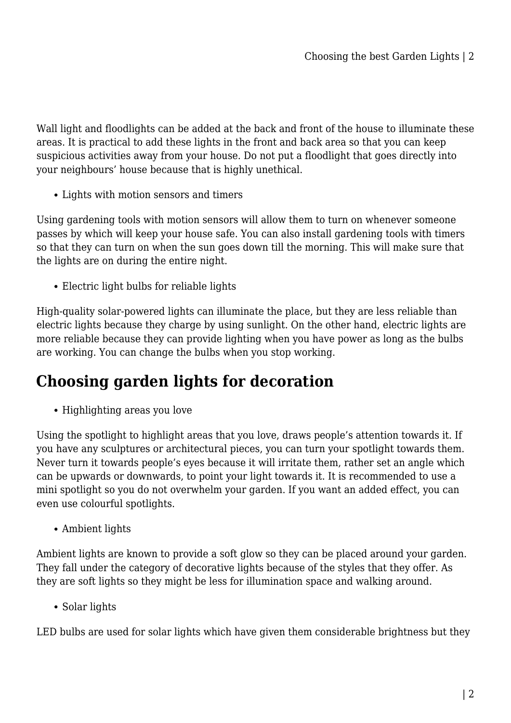Wall light and floodlights can be added at the back and front of the house to illuminate these areas. It is practical to add these lights in the front and back area so that you can keep suspicious activities away from your house. Do not put a floodlight that goes directly into your neighbours' house because that is highly unethical.

Lights with motion sensors and timers

Using gardening tools with motion sensors will allow them to turn on whenever someone passes by which will keep your house safe. You can also install gardening tools with timers so that they can turn on when the sun goes down till the morning. This will make sure that the lights are on during the entire night.

Electric light bulbs for reliable lights

High-quality solar-powered lights can illuminate the place, but they are less reliable than electric lights because they charge by using sunlight. On the other hand, electric lights are more reliable because they can provide lighting when you have power as long as the bulbs are working. You can change the bulbs when you stop working.

## **Choosing garden lights for decoration**

• Highlighting areas you love

Using the spotlight to highlight areas that you love, draws people's attention towards it. If you have any sculptures or architectural pieces, you can turn your spotlight towards them. Never turn it towards people's eyes because it will irritate them, rather set an angle which can be upwards or downwards, to point your light towards it. It is recommended to use a mini spotlight so you do not overwhelm your garden. If you want an added effect, you can even use colourful spotlights.

Ambient lights

Ambient lights are known to provide a soft glow so they can be placed around your garden. They fall under the category of decorative lights because of the styles that they offer. As they are soft lights so they might be less for illumination space and walking around.

• Solar lights

LED bulbs are used for solar lights which have given them considerable brightness but they